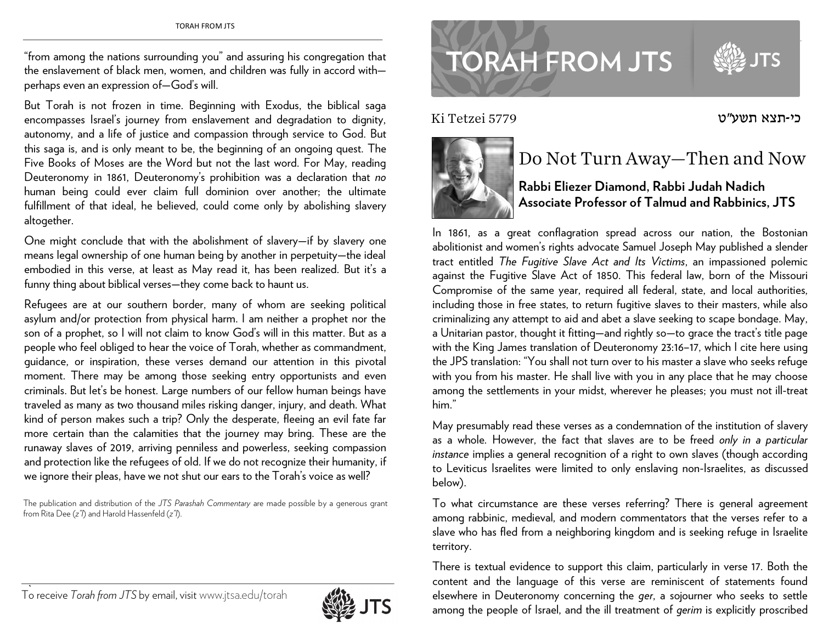"from among the nations surrounding you" and assuring his congregation that the enslavement of black men, women, and children was fully in accord with perhaps even an expression of—God's will.

But Torah is not frozen in time. Beginning with Exodus, the biblical saga encompasses Israel's journey from enslavement and degradation to dignity, autonomy, and a life of justice and compassion through service to God. But this saga is, and is only meant to be, the beginning of an ongoing quest. The Five Books of Moses are the Word but not the last word. For May, reading Deuteronomy in 1861, Deuteronomy's prohibition was a declaration that *no* human being could ever claim full dominion over another; the ultimate fulfillment of that ideal, he believed, could come only by abolishing slavery altogether.

One might conclude that with the abolishment of slavery—if by slavery one means legal ownership of one human being by another in perpetuity—the ideal embodied in this verse, at least as May read it, has been realized. But it's a funny thing about biblical verses—they come back to haunt us.

Refugees are at our southern border, many of whom are seeking political asylum and/or protection from physical harm. I am neither a prophet nor the son of a prophet, so I will not claim to know God's will in this matter. But as a people who feel obliged to hear the voice of Torah, whether as commandment, guidance, or inspiration, these verses demand our attention in this pivotal moment. There may be among those seeking entry opportunists and even criminals. But let's be honest. Large numbers of our fellow human beings have traveled as many as two thousand miles risking danger, injury, and death. What kind of person makes such a trip? Only the desperate, fleeing an evil fate far more certain than the calamities that the journey may bring. These are the runaway slaves of 2019, arriving penniless and powerless, seeking compassion and protection like the refugees of old. If we do not recognize their humanity, if we ignore their pleas, have we not shut our ears to the Torah's voice as well?

The publication and distribution of the *JTS Parashah Commentary* are made possible by a generous grant from Rita Dee (*z"l*) and Harold Hassenfeld (*z"l*).



## **TORAH FROM JTS**

כי-תצא תשע"ט 5779 Tetzei Ki



## Do Not Turn Away—Then and Now

## **Rabbi Eliezer Diamond, Rabbi Judah Nadich Associate Professor of Talmud and Rabbinics, JTS**

In 1861, as a great conflagration spread across our nation, the Bostonian abolitionist and women's rights advocate Samuel Joseph May published a slender tract entitled *The Fugitive Slave Act and Its Victims*, an impassioned polemic against the Fugitive Slave Act of 1850. This federal law, born of the Missouri Compromise of the same year, required all federal, state, and local authorities, including those in free states, to return fugitive slaves to their masters, while also criminalizing any attempt to aid and abet a slave seeking to scape bondage. May, a Unitarian pastor, thought it fitting—and rightly so—to grace the tract's title page with the King James translation of Deuteronomy 23:16–17, which I cite here using the JPS translation: "You shall not turn over to his master a slave who seeks refuge with you from his master. He shall live with you in any place that he may choose among the settlements in your midst, wherever he pleases; you must not ill-treat him."

May presumably read these verses as a condemnation of the institution of slavery as a whole. However, the fact that slaves are to be freed *only in a particular instance* implies a general recognition of a right to own slaves (though according to Leviticus Israelites were limited to only enslaving non-Israelites, as discussed below).

To what circumstance are these verses referring? There is general agreement among rabbinic, medieval, and modern commentators that the verses refer to a slave who has fled from a neighboring kingdom and is seeking refuge in Israelite territory.

There is textual evidence to support this claim, particularly in verse 17. Both the content and the language of this verse are reminiscent of statements found elsewhere in Deuteronomy concerning the *ger*, a sojourner who seeks to settle among the people of Israel, and the ill treatment of *gerim* is explicitly proscribed